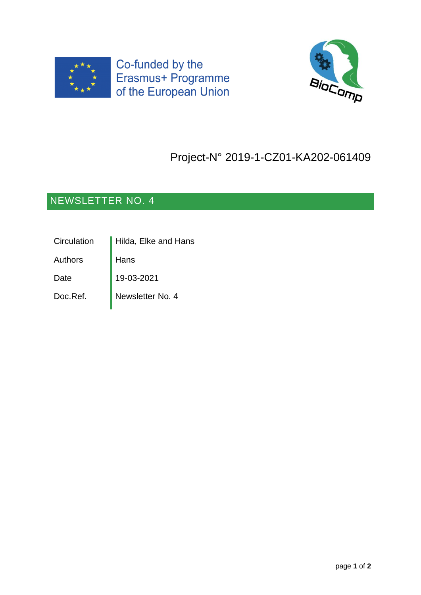



## Project-N° 2019-1-CZ01-KA202-061409

## NEWSLETTER NO. 4

| Circulation    | Hilda, Elke and Hans |
|----------------|----------------------|
| <b>Authors</b> | Hans                 |
| Date           | 19-03-2021           |
| Doc.Ref.       | Newsletter No. 4     |
|                |                      |